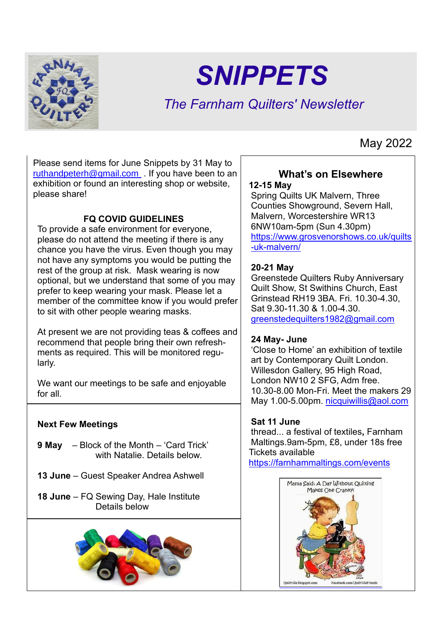

# *SNIPPETS*

# *The Farnham Quilters' Newsletter*

Please send items for June Snippets by 31 May to [ruthandpeterh@gmail.com](mailto:ruthandpeterh@gmail.com) . If you have been to an exhibition or found an interesting shop or website, please share!

#### **FQ COVID GUIDELINES**

To provide a safe environment for everyone, please do not attend the meeting if there is any chance you have the virus. Even though you may not have any symptoms you would be putting the rest of the group at risk. Mask wearing is now optional, but we understand that some of you may prefer to keep wearing your mask. Please let a member of the committee know if you would prefer to sit with other people wearing masks.

At present we are not providing teas & coffees and recommend that people bring their own refreshments as required. This will be monitored regularly.

We want our meetings to be safe and enjoyable for all.

#### **Next Few Meetings**

- **9 May** Block of the Month 'Card Trick' with Natalie. Details below
- **13 June** Guest Speaker Andrea Ashwell
- **18 June** FQ Sewing Day, Hale Institute Details below



# **What's on Elsewhere**

#### **12-15 May**

Spring Quilts UK Malvern, Three Counties Showground, Severn Hall, Malvern, Worcestershire WR13 6NW10am-5pm (Sun 4.30pm) [https://www.grosvenorshows.co.uk/quilts](https://www.grosvenorshows.co.uk/quilts-uk-malvern/) [-uk-malvern/](https://www.grosvenorshows.co.uk/quilts-uk-malvern/)

#### **20-21 May**

Greenstede Quilters Ruby Anniversary Quilt Show, St Swithins Church, East Grinstead RH19 3BA. Fri. 10.30-4.30, Sat 9.30-11.30 & 1.00-4.30. [greenstedequilters1982@gmail.com](mailto:greenstedequilters1982@gmail.com)

#### **24 May- June**

'Close to Home' an exhibition of textile art by Contemporary Quilt London. Willesdon Gallery, 95 High Road, London NW10 2 SFG, Adm free. 10.30-8.00 Mon-Fri. Meet the makers 29 May 1.00-5.00pm. [nicquiwillis@aol.com](mailto:nicquiwillis@aol.com)

#### **Sat 11 June**

thread... a festival of textiles**,** Farnham Maltings.9am-5pm, £8, under 18s free Tickets available <https://farnhammaltings.com/events>



## May 2022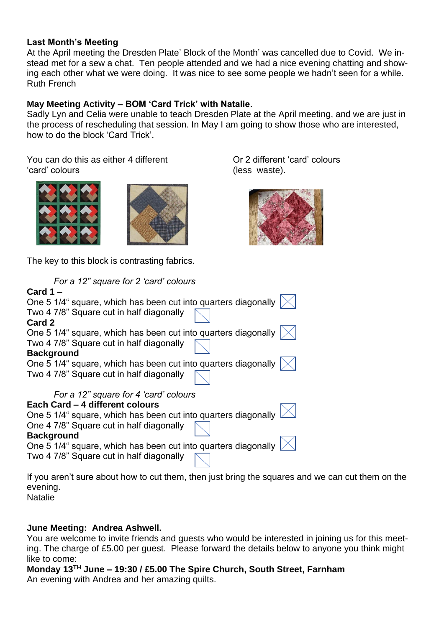#### **Last Month's Meeting**

At the April meeting the Dresden Plate' Block of the Month' was cancelled due to Covid. We instead met for a sew a chat. Ten people attended and we had a nice evening chatting and showing each other what we were doing. It was nice to see some people we hadn't seen for a while. Ruth French

#### **May Meeting Activity – BOM 'Card Trick' with Natalie.**

Sadly Lyn and Celia were unable to teach Dresden Plate at the April meeting, and we are just in the process of rescheduling that session. In May I am going to show those who are interested, how to do the block 'Card Trick'.

You can do this as either 4 different 'card' colours





The key to this block is contrasting fabrics.

Or 2 different 'card' colours (less waste).



| For a 12" square for 2 'card' colours                                  |
|------------------------------------------------------------------------|
| Card $1 -$                                                             |
| One 5 1/4" square, which has been cut into quarters diagonally         |
| Two 4 7/8" Square cut in half diagonally                               |
| Card 2                                                                 |
| One 5 1/4" square, which has been cut into quarters diagonally         |
| Two 4 7/8" Square cut in half diagonally                               |
| <b>Background</b>                                                      |
| One 5 1/4" square, which has been cut into quarters diagonally         |
| Two 4 7/8" Square cut in half diagonally                               |
| For a 12" square for 4 'card' colours                                  |
| Each Card - 4 different colours                                        |
| One 5 1/4" square, which has been cut into quarters diagonally         |
| One 4 7/8" Square cut in half diagonally                               |
| <b>Background</b>                                                      |
| One 5 1/4" square, which has been cut into quarters diagonally         |
| Two 4 7/8" Square cut in half diagonally                               |
| If you aren't sure about how to cut them then just bring the squares a |

If you aren't sure about how to cut them, then just bring the squares and we can cut them on the evening.

Natalie

#### **June Meeting: Andrea Ashwell.**

You are welcome to invite friends and guests who would be interested in joining us for this meeting. The charge of £5.00 per guest. Please forward the details below to anyone you think might like to come:

**Monday 13TH June – 19:30 / £5.00 The Spire Church, South Street, Farnham**  An evening with Andrea and her amazing quilts.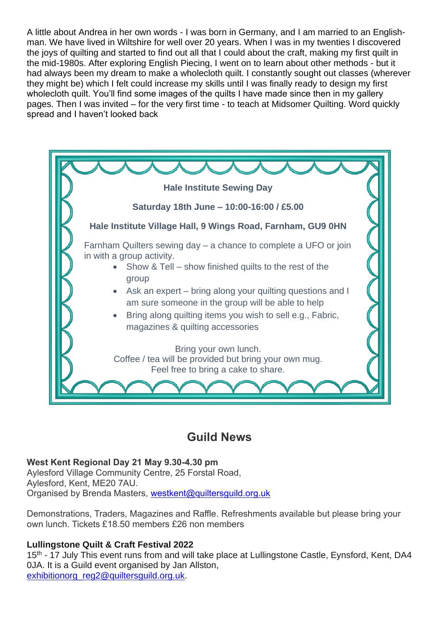A little about Andrea in her own words - I was born in Germany, and I am married to an Englishman. We have lived in Wiltshire for well over 20 years. When I was in my twenties I discovered the joys of quilting and started to find out all that I could about the craft, making my first quilt in the mid-1980s. After exploring English Piecing, I went on to learn about other methods - but it had always been my dream to make a wholecloth quilt. I constantly sought out classes (wherever they might be) which I felt could increase my skills until I was finally ready to design my first wholecloth quilt. You'll find some images of the quilts I have made since then in my gallery pages. Then I was invited – for the very first time - to teach at Midsomer Quilting. Word quickly spread and I haven't looked back



### **Guild News**

#### **West Kent Regional Day 21 May 9.30-4.30 pm**

Aylesford Village Community Centre, 25 Forstal Road, Aylesford, Kent, ME20 7AU. Organised by Brenda Masters, westkent@quiltersquild.org.uk

Demonstrations, Traders, Magazines and Raffle. Refreshments available but please bring your own lunch. Tickets £18.50 members £26 non members

#### **Lullingstone Quilt & Craft Festival 2022**

15<sup>th</sup> - 17 July This event runs from and will take place at Lullingstone Castle, Eynsford, Kent, DA4 0JA. It is a Guild event organised by Jan Allston, exhibitionorg\_reg2@quiltersquild.org.uk.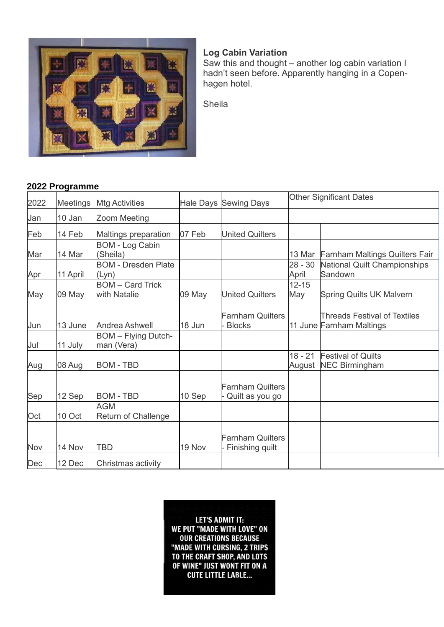

#### **Log Cabin Variation**

Saw this and thought – another log cabin variation I hadn't seen before. Apparently hanging in a Copenhagen hotel.

Sheila

#### **2022 Programme**

| 2022 | <b>Meetings</b> | <b>Mtg Activities</b>                    |        | Hale Days Sewing Days                        | <b>Other Significant Dates</b> |                                                                 |
|------|-----------------|------------------------------------------|--------|----------------------------------------------|--------------------------------|-----------------------------------------------------------------|
| Jan  | 10 Jan          | Zoom Meeting                             |        |                                              |                                |                                                                 |
| Feb  | 14 Feb          | Maltings preparation                     | 07 Feb | <b>United Quilters</b>                       |                                |                                                                 |
| Mar  | 14 Mar          | <b>BOM - Log Cabin</b><br>(Sheila)       |        |                                              | 13 Mar                         | <b>Farnham Maltings Quilters Fair</b>                           |
| Apr  | 11 April        | <b>BOM - Dresden Plate</b><br>(Lyn)      |        |                                              | $28 - 30$<br>April             | <b>National Quilt Championships</b><br>Sandown                  |
| May  | 09 May          | <b>BOM</b> – Card Trick<br>with Natalie  | 09 May | <b>United Quilters</b>                       | $12 - 15$<br>May               | <b>Spring Quilts UK Malvern</b>                                 |
| Jun  | 13 June         | Andrea Ashwell                           | 18 Jun | <b>Farnham Quilters</b><br><b>Blocks</b>     |                                | <b>Threads Festival of Textiles</b><br>11 June Farnham Maltings |
| Jul  | 11 July         | <b>BOM</b> - Flying Dutch-<br>man (Vera) |        |                                              |                                |                                                                 |
| Aug  | 08 Aug          | <b>BOM - TBD</b>                         |        |                                              | $18 - 21$                      | <b>Festival of Quilts</b><br>August NEC Birmingham              |
| Sep  | 12 Sep          | <b>BOM - TBD</b>                         | 10 Sep | <b>Farnham Quilters</b><br>Quilt as you go   |                                |                                                                 |
| Oct  | 10 Oct          | <b>AGM</b><br><b>Return of Challenge</b> |        |                                              |                                |                                                                 |
| Nov  | 14 Nov          | <b>TBD</b>                               | 19 Nov | <b>Farnham Quilters</b><br>- Finishing quilt |                                |                                                                 |
| Dec  | 12 Dec          | Christmas activity                       |        |                                              |                                |                                                                 |

**LET'S ADMIT IT:** WE PUT "MADE WITH LOVE" ON **OUR CREATIONS BECAUSE** "MADE WITH CURSING, 2 TRIPS TO THE CRAFT SHOP, AND LOTS OF WINE" JUST WONT FIT ON A **CUTE LITTLE LABLE...**